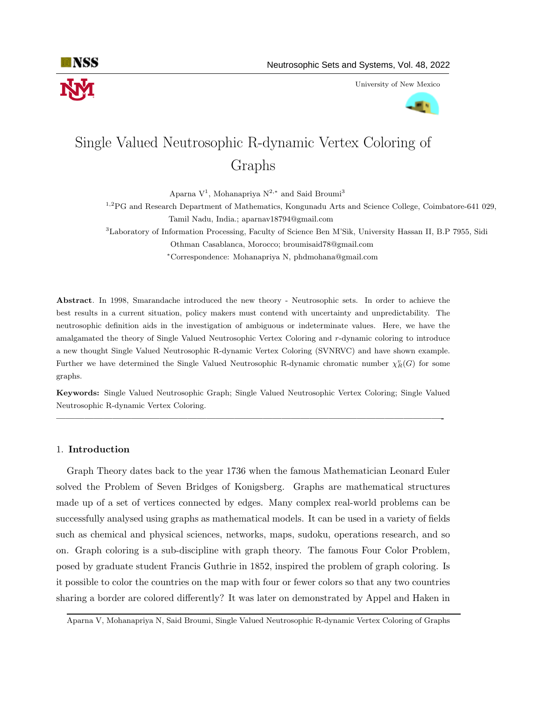

University of New Mexico



# Single Valued Neutrosophic R-dynamic Vertex Coloring of Graphs

Aparna  $V^1$ , Mohanapriya  $N^{2,*}$  and Said Broumi<sup>3</sup>

<sup>1,2</sup>PG and Research Department of Mathematics, Kongunadu Arts and Science College, Coimbatore-641 029, Tamil Nadu, India.; aparnav18794@gmail.com

<sup>3</sup>Laboratory of Information Processing, Faculty of Science Ben M'Sik, University Hassan II, B.P 7955, Sidi Othman Casablanca, Morocco; broumisaid78@gmail.com

<sup>∗</sup>Correspondence: Mohanapriya N, phdmohana@gmail.com

Abstract. In 1998, Smarandache introduced the new theory - Neutrosophic sets. In order to achieve the best results in a current situation, policy makers must contend with uncertainty and unpredictability. The neutrosophic definition aids in the investigation of ambiguous or indeterminate values. Here, we have the amalgamated the theory of Single Valued Neutrosophic Vertex Coloring and r-dynamic coloring to introduce a new thought Single Valued Neutrosophic R-dynamic Vertex Coloring (SVNRVC) and have shown example. Further we have determined the Single Valued Neutrosophic R-dynamic chromatic number  $\chi^v_R(G)$  for some graphs.

Keywords: Single Valued Neutrosophic Graph; Single Valued Neutrosophic Vertex Coloring; Single Valued Neutrosophic R-dynamic Vertex Coloring.

—————————————————————————————————————————-

### 1. Introduction

Graph Theory dates back to the year 1736 when the famous Mathematician Leonard Euler solved the Problem of Seven Bridges of Konigsberg. Graphs are mathematical structures made up of a set of vertices connected by edges. Many complex real-world problems can be successfully analysed using graphs as mathematical models. It can be used in a variety of fields such as chemical and physical sciences, networks, maps, sudoku, operations research, and so on. Graph coloring is a sub-discipline with graph theory. The famous Four Color Problem, posed by graduate student Francis Guthrie in 1852, inspired the problem of graph coloring. Is it possible to color the countries on the map with four or fewer colors so that any two countries sharing a border are colored differently? It was later on demonstrated by Appel and Haken in

Aparna V, Mohanapriya N, Said Broumi, Single Valued Neutrosophic R-dynamic Vertex Coloring of Graphs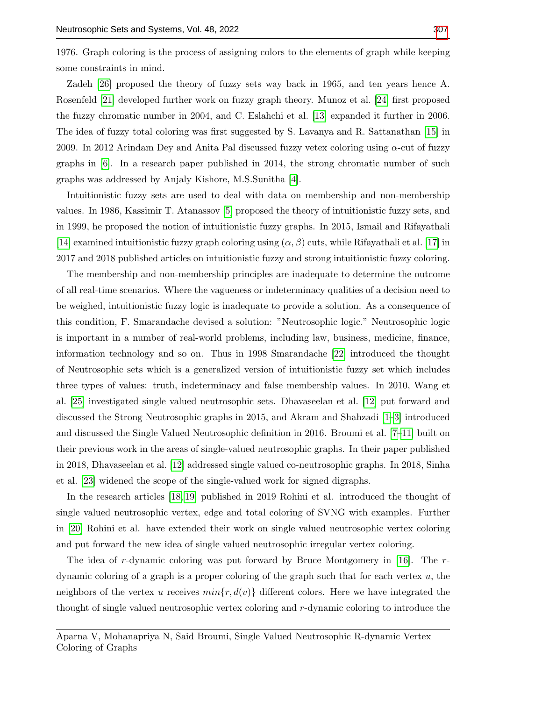1976. Graph coloring is the process of assigning colors to the elements of graph while keeping some constraints in mind.

Zadeh [\[26\]](#page-11-1) proposed the theory of fuzzy sets way back in 1965, and ten years hence A. Rosenfeld [\[21\]](#page-10-0) developed further work on fuzzy graph theory. Munoz et al. [\[24\]](#page-11-2) first proposed the fuzzy chromatic number in 2004, and C. Eslahchi et al. [\[13\]](#page-10-1) expanded it further in 2006. The idea of fuzzy total coloring was first suggested by S. Lavanya and R. Sattanathan [\[15\]](#page-10-2) in 2009. In 2012 Arindam Dey and Anita Pal discussed fuzzy vetex coloring using α-cut of fuzzy graphs in [\[6\]](#page-10-3). In a research paper published in 2014, the strong chromatic number of such graphs was addressed by Anjaly Kishore, M.S.Sunitha [\[4\]](#page-10-4).

Intuitionistic fuzzy sets are used to deal with data on membership and non-membership values. In 1986, Kassimir T. Atanassov [\[5\]](#page-10-5) proposed the theory of intuitionistic fuzzy sets, and in 1999, he proposed the notion of intuitionistic fuzzy graphs. In 2015, Ismail and Rifayathali [\[14\]](#page-10-6) examined intuitionistic fuzzy graph coloring using  $(\alpha, \beta)$  cuts, while Rifayathali et al. [\[17\]](#page-10-7) in 2017 and 2018 published articles on intuitionistic fuzzy and strong intuitionistic fuzzy coloring.

The membership and non-membership principles are inadequate to determine the outcome of all real-time scenarios. Where the vagueness or indeterminacy qualities of a decision need to be weighed, intuitionistic fuzzy logic is inadequate to provide a solution. As a consequence of this condition, F. Smarandache devised a solution: "Neutrosophic logic." Neutrosophic logic is important in a number of real-world problems, including law, business, medicine, finance, information technology and so on. Thus in 1998 Smarandache [\[22\]](#page-10-8) introduced the thought of Neutrosophic sets which is a generalized version of intuitionistic fuzzy set which includes three types of values: truth, indeterminacy and false membership values. In 2010, Wang et al. [\[25\]](#page-11-3) investigated single valued neutrosophic sets. Dhavaseelan et al. [\[12\]](#page-10-9) put forward and discussed the Strong Neutrosophic graphs in 2015, and Akram and Shahzadi [\[1–](#page-10-10)[3\]](#page-10-11) introduced and discussed the Single Valued Neutrosophic definition in 2016. Broumi et al. [\[7–](#page-10-12)[11\]](#page-10-13) built on their previous work in the areas of single-valued neutrosophic graphs. In their paper published in 2018, Dhavaseelan et al. [\[12\]](#page-10-9) addressed single valued co-neutrosophic graphs. In 2018, Sinha et al. [\[23\]](#page-10-14) widened the scope of the single-valued work for signed digraphs.

In the research articles [\[18,](#page-10-15) [19\]](#page-10-16) published in 2019 Rohini et al. introduced the thought of single valued neutrosophic vertex, edge and total coloring of SVNG with examples. Further in [\[20\]](#page-10-17) Rohini et al. have extended their work on single valued neutrosophic vertex coloring and put forward the new idea of single valued neutrosophic irregular vertex coloring.

The idea of r-dynamic coloring was put forward by Bruce Montgomery in [\[16\]](#page-10-18). The  $r$ dynamic coloring of a graph is a proper coloring of the graph such that for each vertex  $u$ , the neighbors of the vertex u receives  $min\{r, d(v)\}\$  different colors. Here we have integrated the thought of single valued neutrosophic vertex coloring and r-dynamic coloring to introduce the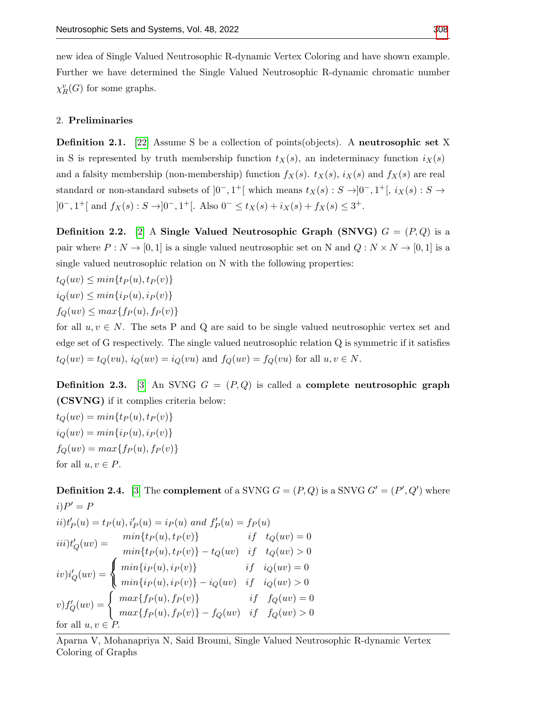new idea of Single Valued Neutrosophic R-dynamic Vertex Coloring and have shown example. Further we have determined the Single Valued Neutrosophic R-dynamic chromatic number  $\chi^v_R(G)$  for some graphs.

## 2. Preliminaries

**Definition 2.1.** [\[22\]](#page-10-8) Assume S be a collection of points(objects). A neutrosophic set X in S is represented by truth membership function  $t<sub>X</sub>(s)$ , an indeterminacy function  $i<sub>X</sub>(s)$ and a falsity membership (non-membership) function  $f_X(s)$ .  $t_X(s)$ ,  $i_X(s)$  and  $f_X(s)$  are real standard or non-standard subsets of  $]0^-, 1^+[$  which means  $t_X(s) : S \rightarrow ]0^-, 1^+[$ ,  $i_X(s) : S \rightarrow$ ]0<sup>-</sup>, 1<sup>+</sup>[ and  $f_X(s)$  : S →]0<sup>-</sup>, 1<sup>+</sup>[. Also 0<sup>-</sup> ≤  $t_X(s) + i_X(s) + f_X(s)$  ≤ 3<sup>+</sup>.

**Definition 2.2.** [\[2\]](#page-10-19) A Single Valued Neutrosophic Graph (SNVG)  $G = (P,Q)$  is a pair where  $P: N \to [0, 1]$  is a single valued neutrosophic set on N and  $Q: N \times N \to [0, 1]$  is a single valued neutrosophic relation on N with the following properties:

$$
t_Q(uv) \le \min\{t_P(u), t_P(v)\}
$$
  

$$
i_Q(uv) \le \min\{i_P(u), i_P(v)\}
$$
  

$$
f_Q(uv) \le \max\{f_P(u), f_P(v)\}
$$

for all  $u, v \in N$ . The sets P and Q are said to be single valued neutrosophic vertex set and edge set of G respectively. The single valued neutrosophic relation Q is symmetric if it satisfies  $t_Q(uv) = t_Q(vu), i_Q(uv) = i_Q(vu)$  and  $f_Q(uv) = f_Q(vu)$  for all  $u, v \in N$ .

**Definition 2.3.** [\[3\]](#page-10-11) An SVNG  $G = (P, Q)$  is called a **complete neutrosophic graph** (CSVNG) if it complies criteria below:

 $t_Q(uv) = min\{t_P(u), t_P(v)\}$  $i_Q(uv) = min\{i_P(u), i_P(v)\}$  $f_Q(uv) = max{f_P(u), f_P(v)}$ for all  $u, v \in P$ .

**Definition 2.4.** [\[3\]](#page-10-11) The **complement** of a SVNG  $G = (P, Q)$  is a SNVG  $G' = (P', Q')$  where  $i)P' = P$  $ii)$ t<sup>t</sup><sub>P</sub>(u) = t<sub>P</sub>(u), i<sup>t</sup><sub>p</sub>(u) = i<sub>P</sub>(u) and  $f'_{P}(u) = f_{P}(u)$  $iii)$ t'<sub>Q</sub> $(uv) =$  $\sqrt{ }$  $min{t_P(u), t_P(v)}$  if  $t_Q(uv) = 0$  $min{t_P(u), t_P(v)} - t_Q(uv)$  if  $t_Q(uv) > 0$  $iv)i'_{Q}(uv) =$  $\int min\{i_P(u), i_P(v)\}$  if  $i_Q(uv) = 0$  $min\{i_P(u), i_P(v)\} - i_Q(uv)$  if  $i_Q(uv) > 0$  $v) f'_Q(uv) =$  $\int \, max\{f_P(u), f_P(v)\}$  if  $f_Q(uv) = 0$  $max{f_P(u), f_P(v)} - f_Q(uv)$  if  $f_Q(uv) > 0$ 

for all  $u, v \in P$ .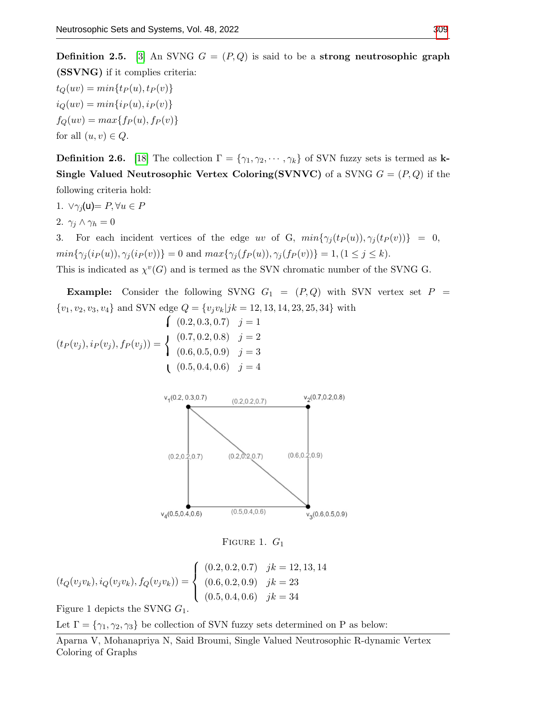**Definition 2.5.** [\[3\]](#page-10-11) An SVNG  $G = (P, Q)$  is said to be a strong neutrosophic graph (SSVNG) if it complies criteria:

 $t_Q(uv) = min\{tp(u), tp(v)\}$  $i_Q(uv) = min\{i_P(u), i_P(v)\}$  $f_Q(uv) = max{f_P(u), f_P(v)}$ for all  $(u, v) \in Q$ .

**Definition 2.6.** [\[18\]](#page-10-15) The collection  $\Gamma = {\gamma_1, \gamma_2, \cdots, \gamma_k}$  of SVN fuzzy sets is termed as k-**Single Valued Neutrosophic Vertex Coloring(SVNVC)** of a SVNG  $G = (P, Q)$  if the following criteria hold:

- 1.  $\forall \gamma_i(u) = P, \forall u \in P$
- 2.  $\gamma_j \wedge \gamma_h = 0$

3. For each incident vertices of the edge uv of G,  $min{\gamma_j(t_P(u))}, \gamma_j(t_P(v))} = 0$ ,  $min{\gamma_j(i_P(u), \gamma_j(i_P(v))} = 0$  and  $max{\gamma_j(f_P(u), \gamma_j(f_P(v))} = 1, (1 \le j \le k).$ 

This is indicated as  $\chi^v(G)$  and is termed as the SVN chromatic number of the SVNG G.

**Example:** Consider the following SVNG  $G_1 = (P, Q)$  with SVN vertex set  $P =$  $\{v_1, v_2, v_3, v_4\}$  and SVN edge  $Q = \{v_jv_k|jk = 12, 13, 14, 23, 25, 34\}$  with

$$
\begin{aligned}\n (0.2, 0.3, 0.7) \quad j &= 1 \\
 (t_P(v_j), i_P(v_j), f_P(v_j)) &= \begin{cases}\n (0.7, 0.2, 0.8) & j &= 2 \\
 (0.6, 0.5, 0.9) & j &= 3 \\
 (0.5, 0.4, 0.6) & j &= 4\n \end{cases}\n \end{aligned}
$$



FIGURE 1.  $G_1$ 

$$
(t_Q(v_j v_k), i_Q(v_j v_k), f_Q(v_j v_k)) = \begin{cases} (0.2, 0.2, 0.7) & jk = 12, 13, 14 \\ (0.6, 0.2, 0.9) & jk = 23 \\ (0.5, 0.4, 0.6) & jk = 34 \end{cases}
$$

Figure 1 depicts the SVNG  $G_1$ .

Let  $\Gamma = \{\gamma_1, \gamma_2, \gamma_3\}$  be collection of SVN fuzzy sets determined on P as below: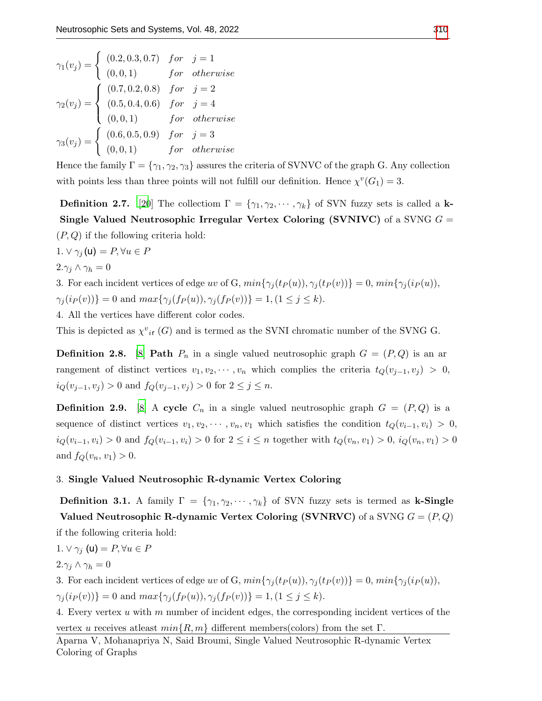$$
\gamma_1(v_j) = \begin{cases}\n(0.2, 0.3, 0.7) & for & j = 1 \\
(0, 0, 1) & for & otherwise\n\end{cases}
$$
\n
$$
\gamma_2(v_j) = \begin{cases}\n(0.7, 0.2, 0.8) & for & j = 2 \\
(0.5, 0.4, 0.6) & for & j = 4 \\
(0, 0, 1) & for & otherwise\n\end{cases}
$$
\n
$$
\gamma_3(v_j) = \begin{cases}\n(0.6, 0.5, 0.9) & for & j = 3 \\
(0, 0, 1) & for & otherwise\n\end{cases}
$$

Hence the family  $\Gamma = \{\gamma_1, \gamma_2, \gamma_3\}$  assures the criteria of SVNVC of the graph G. Any collection with points less than three points will not fulfill our definition. Hence  $\chi^v(G_1) = 3$ .

**Definition 2.7.** [\[20](#page-10-17)] The collection  $\Gamma = \{ \gamma_1, \gamma_2, \cdots, \gamma_k \}$  of SVN fuzzy sets is called a k-Single Valued Neutrosophic Irregular Vertex Coloring (SVNIVC) of a SVNG  $G =$  $(P,Q)$  if the following criteria hold:

1.  $\vee \gamma_j(\mathsf{u}) = P, \forall u \in P$  $2.\gamma_j \wedge \gamma_h = 0$ 

3. For each incident vertices of edge uv of G,  $min{\gamma_j(t_P(u))}, \gamma_j(t_P(v))} = 0, min{\gamma_j(i_P(u))},$  $\gamma_i(i_P(v)) = 0$  and  $max\{\gamma_i(f_P(u)), \gamma_i(f_P(v))\} = 1, (1 \le j \le k).$ 

4. All the vertices have different color codes.

This is depicted as  $\chi^{v}{}_{i}$  (G) and is termed as the SVNI chromatic number of the SVNG G.

**Definition 2.8.** [\[8\]](#page-10-20) **Path**  $P_n$  in a single valued neutrosophic graph  $G = (P, Q)$  is an ar rangement of distinct vertices  $v_1, v_2, \cdots, v_n$  which complies the criteria  $t_Q(v_{i-1}, v_i) > 0$ ,  $i_Q(v_{j-1}, v_j) > 0$  and  $f_Q(v_{j-1}, v_j) > 0$  for  $2 \le j \le n$ .

**Definition 2.9.** [\[8\]](#page-10-20) A cycle  $C_n$  in a single valued neutrosophic graph  $G = (P, Q)$  is a sequence of distinct vertices  $v_1, v_2, \cdots, v_n, v_1$  which satisfies the condition  $t_Q(v_{i-1}, v_i) > 0$ ,  $i_Q(v_{i-1}, v_i) > 0$  and  $f_Q(v_{i-1}, v_i) > 0$  for  $2 \le i \le n$  together with  $t_Q(v_n, v_1) > 0$ ,  $i_Q(v_n, v_1) > 0$ and  $f_Q(v_n, v_1) > 0$ .

#### 3. Single Valued Neutrosophic R-dynamic Vertex Coloring

**Definition 3.1.** A family  $\Gamma = \{\gamma_1, \gamma_2, \cdots, \gamma_k\}$  of SVN fuzzy sets is termed as **k-Single** Valued Neutrosophic R-dynamic Vertex Coloring (SVNRVC) of a SVNG  $G = (P, Q)$ 

if the following criteria hold:

$$
1. \vee \gamma_j \text{ (u)} = P, \forall u \in P
$$

 $2.\gamma_i \wedge \gamma_h = 0$ 

3. For each incident vertices of edge uv of G,  $min{\gamma_i(t_P(u))}, \gamma_i(t_P(v))} = 0, min{\gamma_i(i_P(u))},$  $\gamma_j(i_P(v)) = 0$  and  $max\{\gamma_j(f_P(u)), \gamma_j(f_P(v))\} = 1, (1 \le j \le k).$ 

4. Every vertex u with m number of incident edges, the corresponding incident vertices of the

vertex u receives at east  $min\{R, m\}$  different members(colors) from the set  $\Gamma$ .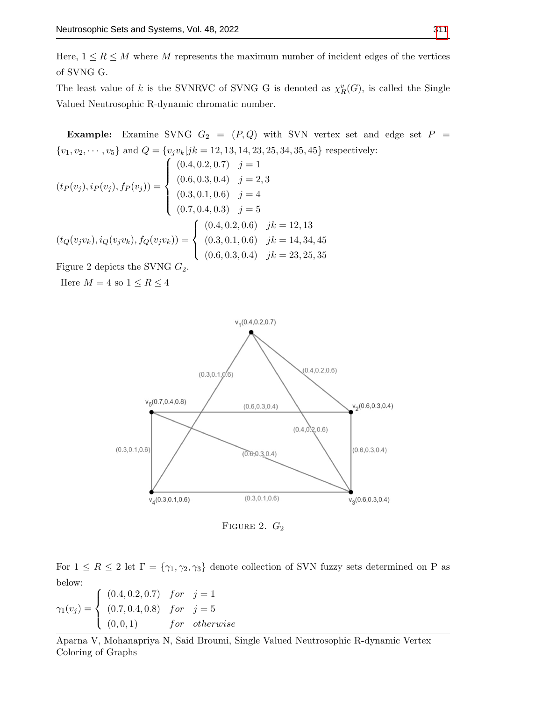Here,  $1 \leq R \leq M$  where M represents the maximum number of incident edges of the vertices of SVNG G.

The least value of k is the SVNRVC of SVNG G is denoted as  $\chi_R^v(G)$ , is called the Single Valued Neutrosophic R-dynamic chromatic number.

Example: Examine SVNG  $G_2 = (P,Q)$  with SVN vertex set and edge set  $P =$  $\{v_1, v_2, \cdots, v_5\}$  and  $Q = \{v_jv_k|jk = 12, 13, 14, 23, 25, 34, 35, 45\}$  respectively:

$$
(t_P(v_j), i_P(v_j), f_P(v_j)) = \begin{cases} (0.4, 0.2, 0.7) & j = 1 \\ (0.6, 0.3, 0.4) & j = 2, 3 \\ (0.3, 0.1, 0.6) & j = 4 \\ (0.7, 0.4, 0.3) & j = 5 \end{cases}
$$

$$
(t_Q(v_j v_k), i_Q(v_j v_k), f_Q(v_j v_k)) = \begin{cases} (0.4, 0.2, 0.6) & jk = 12, 13 \\ (0.3, 0.1, 0.6) & jk = 14, 34, 45 \\ (0.6, 0.3, 0.4) & jk = 23, 25, 35 \end{cases}
$$

Figure 2 depicts the SVNG  $G_2$ .

Here  $M=4$  so  $1\leq R\leq 4$ 



FIGURE 2.  $G_2$ 

For  $1 \leq R \leq 2$  let  $\Gamma = \{\gamma_1, \gamma_2, \gamma_3\}$  denote collection of SVN fuzzy sets determined on P as below:

$$
\gamma_1(v_j) = \begin{cases}\n(0.4, 0.2, 0.7) & \text{for } j = 1 \\
(0.7, 0.4, 0.8) & \text{for } j = 5 \\
(0, 0, 1) & \text{for otherwise}\n\end{cases}
$$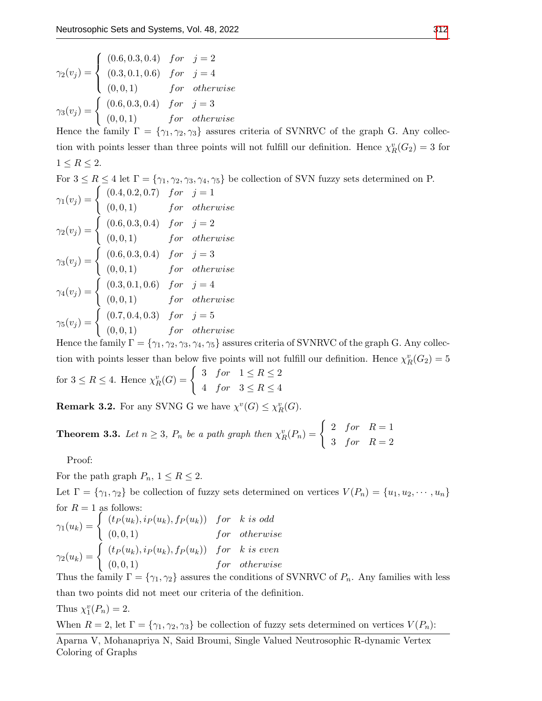$$
\gamma_2(v_j) = \begin{cases}\n(0.6, 0.3, 0.4) & \text{for } j = 2 \\
(0.3, 0.1, 0.6) & \text{for } j = 4 \\
(0.0, 1) & \text{for otherwise} \\
\gamma_3(v_j) = \begin{cases}\n(0.6, 0.3, 0.4) & \text{for } j = 3 \\
(0.0, 1) & \text{for otherwise}\n\end{cases}\n\end{cases}
$$

Hence the family  $\Gamma = \{\gamma_1, \gamma_2, \gamma_3\}$  assures criteria of SVNRVC of the graph G. Any collection with points lesser than three points will not fulfill our definition. Hence  $\chi_R^v(G_2) = 3$  for  $1 \leq R \leq 2$ .

For  $3 \le R \le 4$  let  $\Gamma = \{ \gamma_1, \gamma_2, \gamma_3, \gamma_4, \gamma_5 \}$  be collection of SVN fuzzy sets determined on P.  $\gamma_1(v_j) = \begin{cases} (0.4, 0.2, 0.7) & \text{for} \quad j = 1 \end{cases}$  $(0, 0, 1)$  for otherwise  $\gamma_2(v_j) = \begin{cases} (0.6, 0.3, 0.4) & \text{for } j = 2 \\ (0.6, 0.3, 0.4) & \text{for } j = 2 \end{cases}$  $(0, 0, 1)$  for otherwise  $\gamma_3(v_j) = \begin{cases} (0.6, 0.3, 0.4) & \text{for } j = 3 \\ (0.6, 0.3, 0.4) & \text{for } j = 3 \end{cases}$  $(0, 0, 1)$  for otherwise  $\gamma_4(v_j) = \begin{cases} (0.3, 0.1, 0.6) & \text{for } j = 4 \\ (0.3, 0.1, 0.6) & \text{for } j = 4 \end{cases}$  $(0, 0, 1)$  for otherwise  $\gamma_5(v_j) = \begin{cases} (0.7, 0.4, 0.3) & \text{for} \quad j = 5 \\ (0.8, 1) & \text{for} \quad j = 1 \end{cases}$  $(0, 0, 1)$  for otherwise

Hence the family  $\Gamma = \{\gamma_1, \gamma_2, \gamma_3, \gamma_4, \gamma_5\}$  assures criteria of SVNRVC of the graph G. Any collection with points lesser than below five points will not fulfill our definition. Hence  $\chi^v_R(G_2) = 5$ for  $3 \leq R \leq 4$ . Hence  $\chi^v_R(G) = \begin{cases} 3 & \text{for} \quad 1 \leq R \leq 2 \\ 4 & \text{for} \quad 2 \leq R \leq 4 \end{cases}$ 4 for  $3 \le R \le 4$ 

**Remark 3.2.** For any SVNG G we have  $\chi^v(G) \leq \chi^v_R(G)$ .

**Theorem 3.3.** Let  $n \geq 3$ ,  $P_n$  be a path graph then  $\chi_R^v(P_n) = \begin{cases} 2 & \text{for} \quad R = 1 \\ 2 & \text{for} \quad R = 2 \end{cases}$ 3 for  $R=2$ 

Proof:

For the path graph  $P_n$ ,  $1 \leq R \leq 2$ .

Let  $\Gamma = \{\gamma_1, \gamma_2\}$  be collection of fuzzy sets determined on vertices  $V(P_n) = \{u_1, u_2, \dots, u_n\}$ for  $R = 1$  as follows:

$$
\gamma_1(u_k) = \begin{cases}\n(t_P(u_k), i_P(u_k), f_P(u_k)) & \text{for} \quad k \text{ is odd} \\
(0,0,1) & \text{for} \quad \text{otherwise} \\
\gamma_2(u_k) = \begin{cases}\n(t_P(u_k), i_P(u_k), f_P(u_k)) & \text{for} \quad k \text{ is even} \\
(0,0,1) & \text{for} \quad \text{otherwise}\n\end{cases}\n\end{cases}
$$

Thus the family  $\Gamma = \{\gamma_1, \gamma_2\}$  assures the conditions of SVNRVC of  $P_n$ . Any families with less than two points did not meet our criteria of the definition.

Thus 
$$
\chi_1^v(P_n) = 2
$$
.

When  $R = 2$ , let  $\Gamma = {\gamma_1, \gamma_2, \gamma_3}$  be collection of fuzzy sets determined on vertices  $V(P_n)$ :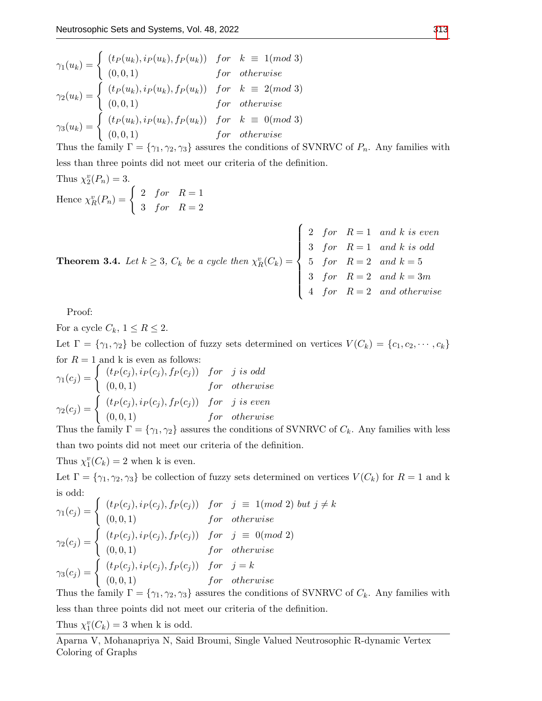$$
\gamma_1(u_k) = \begin{cases}\n(t_P(u_k), i_P(u_k), f_P(u_k)) & \text{for} \quad k \equiv 1 \pmod{3} \\
(0, 0, 1) & \text{for} \quad \text{otherwise}\n\end{cases}
$$
\n
$$
\gamma_2(u_k) = \begin{cases}\n(t_P(u_k), i_P(u_k), f_P(u_k)) & \text{for} \quad k \equiv 2 \pmod{3} \\
(0, 0, 1) & \text{for} \quad \text{otherwise}\n\end{cases}
$$
\n
$$
\gamma_3(u_k) = \begin{cases}\n(t_P(u_k), i_P(u_k), f_P(u_k)) & \text{for} \quad k \equiv 0 \pmod{3} \\
(0, 0, 1) & \text{for} \quad \text{otherwise}\n\end{cases}
$$

Thus the family  $\Gamma = \{\gamma_1, \gamma_2, \gamma_3\}$  assures the conditions of SVNRVC of  $P_n$ . Any families with less than three points did not meet our criteria of the definition.

Thus 
$$
\chi_2^v(P_n) = 3
$$
.  
Hence  $\chi_R^v(P_n) = \begin{cases} 2 & \text{for} & R = 1 \\ 3 & \text{for} & R = 2 \end{cases}$ 

**Theorem 3.4.** Let 
$$
k \ge 3
$$
,  $C_k$  be a cycle then  $\chi_R^v(C_k) = \begin{cases} 2 & \text{for} & R = 1 \text{ and } k \text{ is even} \\ 3 & \text{for} & R = 1 \text{ and } k \text{ is odd} \\ 5 & \text{for} & R = 2 \text{ and } k = 5 \\ 3 & \text{for} & R = 2 \text{ and } k = 3m \\ 4 & \text{for} & R = 2 \text{ and otherwise} \end{cases}$ 

Proof:

For a cycle  $C_k$ ,  $1 \leq R \leq 2$ . Let  $\Gamma = \{\gamma_1, \gamma_2\}$  be collection of fuzzy sets determined on vertices  $V(C_k) = \{c_1, c_2, \dots, c_k\}$ for  $R = 1$  and k is even as follows:

$$
\gamma_1(c_j) = \begin{cases}\n(t_P(c_j), i_P(c_j), f_P(c_j)) & \text{for} \quad j \text{ is odd} \\
(0, 0, 1) & \text{for} \quad \text{otherwise} \\
(t_P(c_j), i_P(c_j), f_P(c_j)) & \text{for} \quad j \text{ is even} \\
(0, 0, 1) & \text{for} \quad \text{otherwise}\n\end{cases}
$$

Thus the family  $\Gamma = \{\gamma_1, \gamma_2\}$  assures the conditions of SVNRVC of  $C_k$ . Any families with less than two points did not meet our criteria of the definition.

Thus  $\chi_1^v(C_k) = 2$  when k is even.

Let  $\Gamma = \{\gamma_1, \gamma_2, \gamma_3\}$  be collection of fuzzy sets determined on vertices  $V(C_k)$  for  $R = 1$  and k is odd:

$$
\gamma_1(c_j) = \begin{cases}\n(t_P(c_j), i_P(c_j), f_P(c_j)) & \text{for} \quad j \equiv 1 \pmod{2} \text{ but } j \neq k \\
(0, 0, 1) & \text{for} \quad \text{otherwise}\n\end{cases}
$$
\n
$$
\gamma_2(c_j) = \begin{cases}\n(t_P(c_j), i_P(c_j), f_P(c_j)) & \text{for} \quad j \equiv 0 \pmod{2} \\
(0, 0, 1) & \text{for} \quad \text{otherwise}\n\end{cases}
$$
\n
$$
\gamma_3(c_j) = \begin{cases}\n(t_P(c_j), i_P(c_j), f_P(c_j)) & \text{for} \quad j = k \\
(0, 0, 1) & \text{for} \quad \text{otherwise}\n\end{cases}
$$

Thus the family  $\Gamma = \{\gamma_1, \gamma_2, \gamma_3\}$  assures the conditions of SVNRVC of  $C_k$ . Any families with less than three points did not meet our criteria of the definition.

Thus  $\chi_1^v(C_k) = 3$  when k is odd.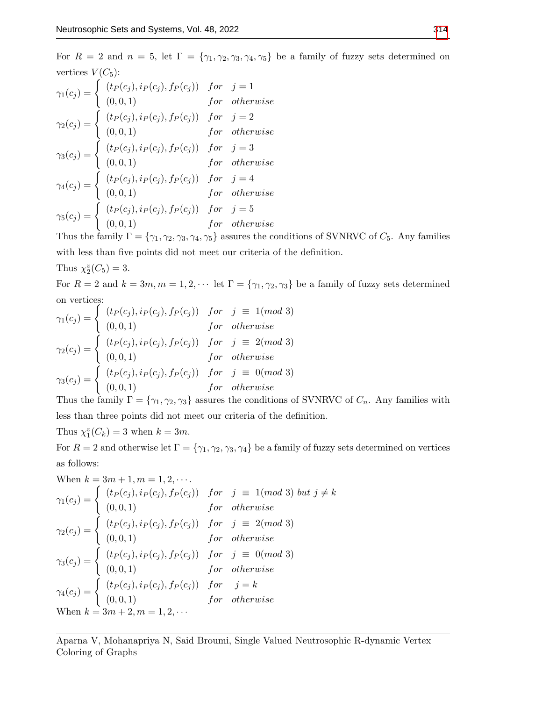For  $R = 2$  and  $n = 5$ , let  $\Gamma = \{\gamma_1, \gamma_2, \gamma_3, \gamma_4, \gamma_5\}$  be a family of fuzzy sets determined on vertices  $V(C_5)$ :

$$
\gamma_{1}(c_{j}) = \begin{cases}\n(t_{P}(c_{j}), i_{P}(c_{j}), f_{P}(c_{j})) & \text{for} \quad j = 1 \\
(0, 0, 1) & \text{for} \quad \text{otherwise} \\
\gamma_{2}(c_{j}) = \begin{cases}\n(t_{P}(c_{j}), i_{P}(c_{j}), f_{P}(c_{j})) & \text{for} \quad j = 2 \\
(0, 0, 1) & \text{for} \quad \text{otherwise}\n\end{cases} \\
\gamma_{3}(c_{j}) = \begin{cases}\n(t_{P}(c_{j}), i_{P}(c_{j}), f_{P}(c_{j})) & \text{for} \quad j = 3 \\
(0, 0, 1) & \text{for} \quad \text{otherwise}\n\end{cases} \\
\gamma_{4}(c_{j}) = \begin{cases}\n(t_{P}(c_{j}), i_{P}(c_{j}), f_{P}(c_{j})) & \text{for} \quad j = 4 \\
(0, 0, 1) & \text{for} \quad \text{otherwise}\n\end{cases} \\
\gamma_{5}(c_{j}) = \begin{cases}\n(t_{P}(c_{j}), i_{P}(c_{j}), f_{P}(c_{j})) & \text{for} \quad j = 5 \\
(0, 0, 1) & \text{for} \quad \text{otherwise}\n\end{cases}
$$

Thus the family  $\Gamma = \{\gamma_1, \gamma_2, \gamma_3, \gamma_4, \gamma_5\}$  assures the conditions of SVNRVC of  $C_5$ . Any families with less than five points did not meet our criteria of the definition.

Thus 
$$
\chi_2^v(C_5) = 3
$$
.

For  $R = 2$  and  $k = 3m, m = 1, 2, \cdots$  let  $\Gamma = \{\gamma_1, \gamma_2, \gamma_3\}$  be a family of fuzzy sets determined on vertices:

$$
\gamma_1(c_j) = \begin{cases}\n(t_P(c_j), i_P(c_j), f_P(c_j)) & \text{for} \quad j \equiv 1 \pmod{3} \\
(0, 0, 1) & \text{for} \quad \text{otherwise}\n\end{cases}
$$
\n
$$
\gamma_2(c_j) = \begin{cases}\n(t_P(c_j), i_P(c_j), f_P(c_j)) & \text{for} \quad j \equiv 2 \pmod{3} \\
(0, 0, 1) & \text{for} \quad \text{otherwise}\n\end{cases}
$$
\n
$$
\gamma_3(c_j) = \begin{cases}\n(t_P(c_j), i_P(c_j), f_P(c_j)) & \text{for} \quad j \equiv 0 \pmod{3} \\
(0, 0, 1) & \text{for} \quad \text{otherwise}\n\end{cases}
$$

Thus the family  $\Gamma = \{\gamma_1, \gamma_2, \gamma_3\}$  assures the conditions of SVNRVC of  $C_n$ . Any families with less than three points did not meet our criteria of the definition.

Thus  $\chi_1^v(C_k) = 3$  when  $k = 3m$ .

For  $R = 2$  and otherwise let  $\Gamma = \{\gamma_1, \gamma_2, \gamma_3, \gamma_4\}$  be a family of fuzzy sets determined on vertices as follows:

When 
$$
k = 3m + 1, m = 1, 2, \cdots
$$
  
\n
$$
\gamma_1(c_j) = \begin{cases}\n(t_P(c_j), i_P(c_j), f_P(c_j)) & \text{for } j \equiv 1 \pmod{3} \text{ but } j \neq k \\
(0, 0, 1) & \text{for otherwise} \\
(0, 0, 1) & \text{for otherwise}\n\end{cases}
$$
\n
$$
\gamma_2(c_j) = \begin{cases}\n(t_P(c_j), i_P(c_j), f_P(c_j)) & \text{for } j \equiv 2 \pmod{3} \\
(0, 0, 1) & \text{for otherwise} \\
(0, 0, 1) & \text{for otherwise}\n\end{cases}
$$
\n
$$
\gamma_3(c_j) = \begin{cases}\n(t_P(c_j), i_P(c_j), f_P(c_j)) & \text{for } j \equiv 0 \pmod{3} \\
(t_P(c_j), i_P(c_j), f_P(c_j)) & \text{for } j = k \\
(0, 0, 1) & \text{for otherwise}\n\end{cases}
$$
\nWhen  $k = 3m + 2, m = 1, 2, \cdots$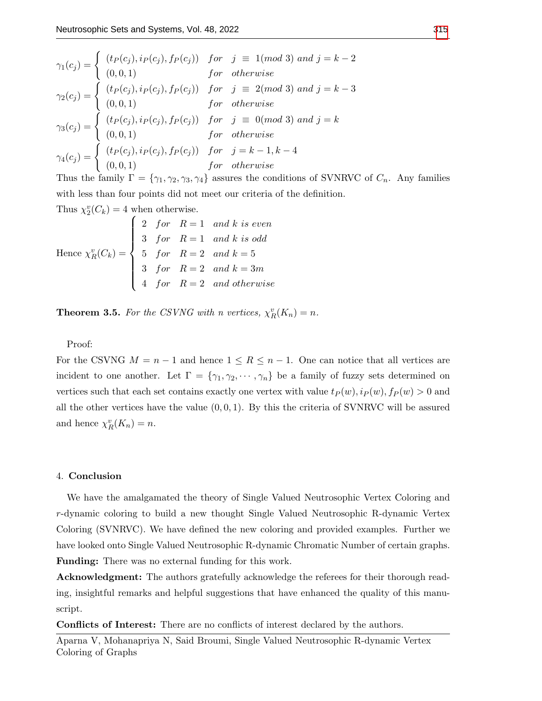<sup>γ</sup>1(c<sup>j</sup> ) = ( (t<sup>P</sup> (c<sup>j</sup> ), i<sup>P</sup> (c<sup>j</sup> ), f<sup>P</sup> (c<sup>j</sup> )) for j ≡ 1(mod 3) and j = k − 2 (0, 0, 1) for otherwise <sup>γ</sup>2(c<sup>j</sup> ) = ( (t<sup>P</sup> (c<sup>j</sup> ), i<sup>P</sup> (c<sup>j</sup> ), f<sup>P</sup> (c<sup>j</sup> )) for j ≡ 2(mod 3) and j = k − 3 (0, 0, 1) for otherwise <sup>γ</sup>3(c<sup>j</sup> ) = ( (t<sup>P</sup> (c<sup>j</sup> ), i<sup>P</sup> (c<sup>j</sup> ), f<sup>P</sup> (c<sup>j</sup> )) for j ≡ 0(mod 3) and j = k (0, 0, 1) for otherwise <sup>γ</sup>4(c<sup>j</sup> ) = ( (t<sup>P</sup> (c<sup>j</sup> ), i<sup>P</sup> (c<sup>j</sup> ), f<sup>P</sup> (c<sup>j</sup> )) for j = k − 1, k − 4 (0, 0, 1) for otherwise

Thus the family  $\Gamma = \{\gamma_1, \gamma_2, \gamma_3, \gamma_4\}$  assures the conditions of SVNRVC of  $C_n$ . Any families with less than four points did not meet our criteria of the definition.

Thus  $\chi_2^v(C_k) = 4$  when otherwise.

Hence 
$$
\chi_R^v(C_k) = \begin{cases}\n2 & \text{for} \quad R = 1 \quad \text{and} \quad k \text{ is even} \\
3 & \text{for} \quad R = 1 \quad \text{and} \quad k \text{ is odd} \\
5 & \text{for} \quad R = 2 \quad \text{and} \quad k = 5 \\
3 & \text{for} \quad R = 2 \quad \text{and} \quad k = 3m \\
4 & \text{for} \quad R = 2 \quad \text{and otherwise}\n\end{cases}
$$

**Theorem 3.5.** For the CSVNG with n vertices,  $\chi_R^v(K_n) = n$ .

Proof:

For the CSVNG  $M = n - 1$  and hence  $1 \le R \le n - 1$ . One can notice that all vertices are incident to one another. Let  $\Gamma = \{\gamma_1, \gamma_2, \cdots, \gamma_n\}$  be a family of fuzzy sets determined on vertices such that each set contains exactly one vertex with value  $t_P(w), i_P(w), f_P(w) > 0$  and all the other vertices have the value  $(0, 0, 1)$ . By this the criteria of SVNRVC will be assured and hence  $\chi_R^v(K_n) = n$ .

#### 4. Conclusion

We have the amalgamated the theory of Single Valued Neutrosophic Vertex Coloring and r-dynamic coloring to build a new thought Single Valued Neutrosophic R-dynamic Vertex Coloring (SVNRVC). We have defined the new coloring and provided examples. Further we have looked onto Single Valued Neutrosophic R-dynamic Chromatic Number of certain graphs. Funding: There was no external funding for this work.

Acknowledgment: The authors gratefully acknowledge the referees for their thorough reading, insightful remarks and helpful suggestions that have enhanced the quality of this manuscript.

Conflicts of Interest: There are no conflicts of interest declared by the authors.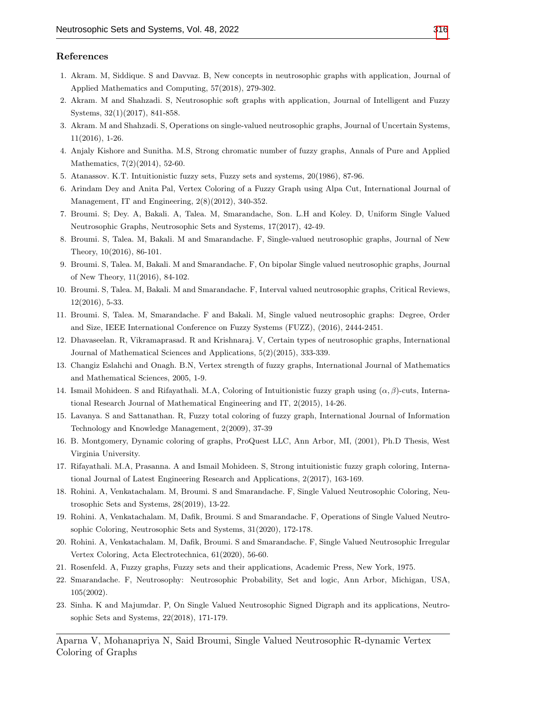## References

- <span id="page-10-10"></span>1. Akram. M, Siddique. S and Davvaz. B, New concepts in neutrosophic graphs with application, Journal of Applied Mathematics and Computing, 57(2018), 279-302.
- <span id="page-10-19"></span>2. Akram. M and Shahzadi. S, Neutrosophic soft graphs with application, Journal of Intelligent and Fuzzy Systems, 32(1)(2017), 841-858.
- <span id="page-10-11"></span>3. Akram. M and Shahzadi. S, Operations on single-valued neutrosophic graphs, Journal of Uncertain Systems, 11(2016), 1-26.
- <span id="page-10-4"></span>4. Anjaly Kishore and Sunitha. M.S, Strong chromatic number of fuzzy graphs, Annals of Pure and Applied Mathematics, 7(2)(2014), 52-60.
- <span id="page-10-5"></span>5. Atanassov. K.T. Intuitionistic fuzzy sets, Fuzzy sets and systems, 20(1986), 87-96.
- <span id="page-10-3"></span>6. Arindam Dey and Anita Pal, Vertex Coloring of a Fuzzy Graph using Alpa Cut, International Journal of Management, IT and Engineering, 2(8)(2012), 340-352.
- <span id="page-10-12"></span>7. Broumi. S; Dey. A, Bakali. A, Talea. M, Smarandache, Son. L.H and Koley. D, Uniform Single Valued Neutrosophic Graphs, Neutrosophic Sets and Systems, 17(2017), 42-49.
- <span id="page-10-20"></span>8. Broumi. S, Talea. M, Bakali. M and Smarandache. F, Single-valued neutrosophic graphs, Journal of New Theory, 10(2016), 86-101.
- 9. Broumi. S, Talea. M, Bakali. M and Smarandache. F, On bipolar Single valued neutrosophic graphs, Journal of New Theory, 11(2016), 84-102.
- 10. Broumi. S, Talea. M, Bakali. M and Smarandache. F, Interval valued neutrosophic graphs, Critical Reviews, 12(2016), 5-33.
- <span id="page-10-13"></span>11. Broumi. S, Talea. M, Smarandache. F and Bakali. M, Single valued neutrosophic graphs: Degree, Order and Size, IEEE International Conference on Fuzzy Systems (FUZZ), (2016), 2444-2451.
- <span id="page-10-9"></span>12. Dhavaseelan. R, Vikramaprasad. R and Krishnaraj. V, Certain types of neutrosophic graphs, International Journal of Mathematical Sciences and Applications, 5(2)(2015), 333-339.
- <span id="page-10-1"></span>13. Changiz Eslahchi and Onagh. B.N, Vertex strength of fuzzy graphs, International Journal of Mathematics and Mathematical Sciences, 2005, 1-9.
- <span id="page-10-6"></span>14. Ismail Mohideen. S and Rifayathali. M.A, Coloring of Intuitionistic fuzzy graph using  $(\alpha, \beta)$ -cuts, International Research Journal of Mathematical Engineering and IT, 2(2015), 14-26.
- <span id="page-10-2"></span>15. Lavanya. S and Sattanathan. R, Fuzzy total coloring of fuzzy graph, International Journal of Information Technology and Knowledge Management, 2(2009), 37-39
- <span id="page-10-18"></span>16. B. Montgomery, Dynamic coloring of graphs, ProQuest LLC, Ann Arbor, MI, (2001), Ph.D Thesis, West Virginia University.
- <span id="page-10-7"></span>17. Rifayathali. M.A, Prasanna. A and Ismail Mohideen. S, Strong intuitionistic fuzzy graph coloring, International Journal of Latest Engineering Research and Applications, 2(2017), 163-169.
- <span id="page-10-15"></span>18. Rohini. A, Venkatachalam. M, Broumi. S and Smarandache. F, Single Valued Neutrosophic Coloring, Neutrosophic Sets and Systems, 28(2019), 13-22.
- <span id="page-10-16"></span>19. Rohini. A, Venkatachalam. M, Dafik, Broumi. S and Smarandache. F, Operations of Single Valued Neutrosophic Coloring, Neutrosophic Sets and Systems, 31(2020), 172-178.
- <span id="page-10-17"></span>20. Rohini. A, Venkatachalam. M, Dafik, Broumi. S and Smarandache. F, Single Valued Neutrosophic Irregular Vertex Coloring, Acta Electrotechnica, 61(2020), 56-60.
- <span id="page-10-0"></span>21. Rosenfeld. A, Fuzzy graphs, Fuzzy sets and their applications, Academic Press, New York, 1975.
- <span id="page-10-8"></span>22. Smarandache. F, Neutrosophy: Neutrosophic Probability, Set and logic, Ann Arbor, Michigan, USA, 105(2002).
- <span id="page-10-14"></span>23. Sinha. K and Majumdar. P, On Single Valued Neutrosophic Signed Digraph and its applications, Neutrosophic Sets and Systems, 22(2018), 171-179.